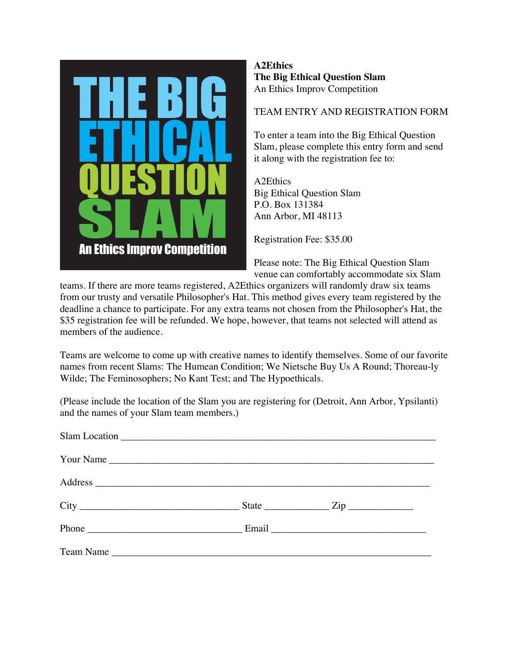

## **A2Ethics The Big Ethical Question Slam**  An Ethics Improv Competition

## TEAM ENTRY AND REGISTRATION FORM

To enter a team into the Big Ethical Question Slam, please complete this entry form and send it along with the registration fee to:

A2Ethics Big Ethical Question Slam P.O. Box 131384 Ann Arbor, MI 48113

Registration Fee: \$35.00

Please note: The Big Ethical Question Slam venue can comfortably accommodate six Slam

teams. If there are more teams registered, A2Ethics organizers will randomly draw six teams from our trusty and versatile Philosopher's Hat. This method gives every team registered by the deadline a chance to participate. For any extra teams not chosen from the Philosopher's Hat, the \$35 registration fee will be refunded. We hope, however, that teams not selected will attend as members of the audience.

Teams are welcome to come up with creative names to identify themselves. Some of our favorite names from recent Slams: The Humean Condition; We Nietsche Buy Us A Round; Thoreau-ly Wilde; The Feminosophers; No Kant Test; and The Hypoethicals.

(Please include the location of the Slam you are registering for (Detroit, Ann Arbor, Ypsilanti) and the names of your Slam team members.)

| Your Name    |  |
|--------------|--|
|              |  |
| $City$ $2ip$ |  |
|              |  |
| Team Name    |  |